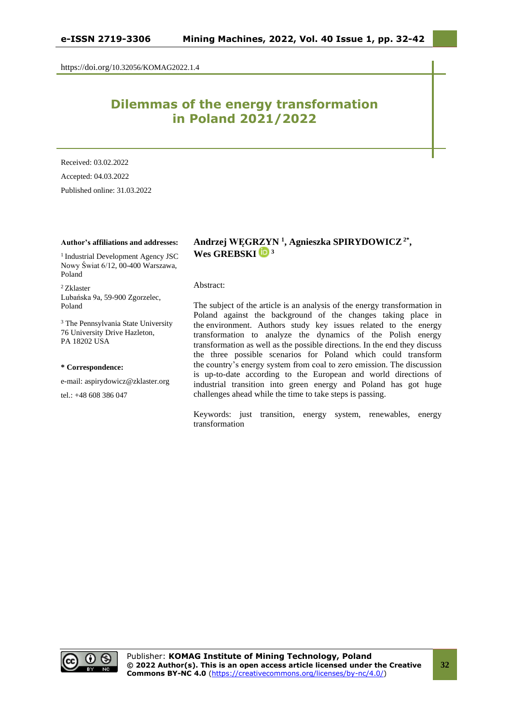https://doi.org/10.32056/KOMAG2022.1.4

# **Dilemmas of the energy transformation in Poland 2021/2022**

Received: 03.02.2022 Accepted: 04.03.2022

Published online: 31.03.2022

#### **Author's affiliations and addresses:**

<sup>1</sup> Industrial Development Agency JSC Nowy Świat 6/12, 00-400 Warszawa, Poland

<sup>2</sup> Zklaster Lubańska 9a, 59-900 Zgorzelec, Poland

<sup>3</sup> The Pennsylvania State University 76 University Drive Hazleton, PA 18202 USA

#### **\* Correspondence:**

e-mail: aspirydowicz@zklaster.org

tel.: +48 608 386 047

# **Andrzej WĘGRZYN <sup>1</sup> , Agnieszka SPIRYDOWICZ2\* ,**  Wes GREBSKI<sup>b</sup><sup>3</sup>

#### Abstract:

The subject of the article is an analysis of the energy transformation in Poland against the background of the changes taking place in the environment. Authors study key issues related to the energy transformation to analyze the dynamics of the Polish energy transformation as well as the possible directions. In the end they discuss the three possible scenarios for Poland which could transform the country's energy system from coal to zero emission. The discussion is up-to-date according to the European and world directions of industrial transition into green energy and Poland has got huge challenges ahead while the time to take steps is passing.

Keywords: just transition, energy system, renewables, energy transformation

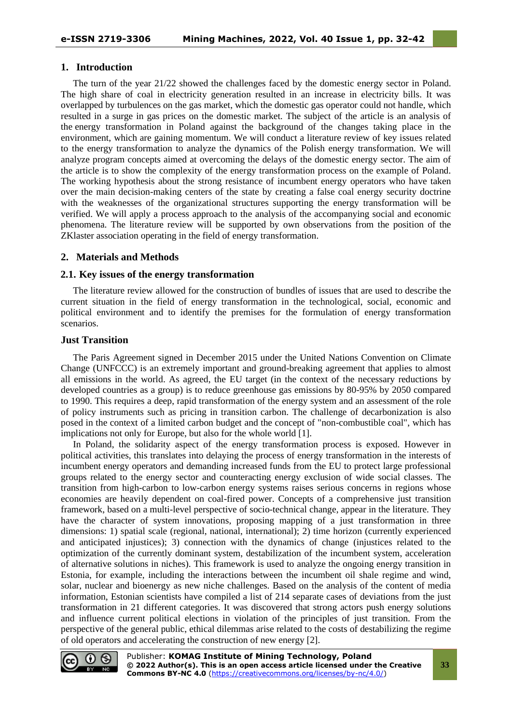## **1. Introduction**

The turn of the year 21/22 showed the challenges faced by the domestic energy sector in Poland. The high share of coal in electricity generation resulted in an increase in electricity bills. It was overlapped by turbulences on the gas market, which the domestic gas operator could not handle, which resulted in a surge in gas prices on the domestic market. The subject of the article is an analysis of the energy transformation in Poland against the background of the changes taking place in the environment, which are gaining momentum. We will conduct a literature review of key issues related to the energy transformation to analyze the dynamics of the Polish energy transformation. We will analyze program concepts aimed at overcoming the delays of the domestic energy sector. The aim of the article is to show the complexity of the energy transformation process on the example of Poland. The working hypothesis about the strong resistance of incumbent energy operators who have taken over the main decision-making centers of the state by creating a false coal energy security doctrine with the weaknesses of the organizational structures supporting the energy transformation will be verified. We will apply a process approach to the analysis of the accompanying social and economic phenomena. The literature review will be supported by own observations from the position of the ZKlaster association operating in the field of energy transformation.

## **2. Materials and Methods**

## **2.1. Key issues of the energy transformation**

The literature review allowed for the construction of bundles of issues that are used to describe the current situation in the field of energy transformation in the technological, social, economic and political environment and to identify the premises for the formulation of energy transformation scenarios.

#### **Just Transition**

The Paris Agreement signed in December 2015 under the United Nations Convention on Climate Change (UNFCCC) is an extremely important and ground-breaking agreement that applies to almost all emissions in the world. As agreed, the EU target (in the context of the necessary reductions by developed countries as a group) is to reduce greenhouse gas emissions by 80-95% by 2050 compared to 1990. This requires a deep, rapid transformation of the energy system and an assessment of the role of policy instruments such as pricing in transition carbon. The challenge of decarbonization is also posed in the context of a limited carbon budget and the concept of "non-combustible coal", which has implications not only for Europe, but also for the whole world [1].

In Poland, the solidarity aspect of the energy transformation process is exposed. However in political activities, this translates into delaying the process of energy transformation in the interests of incumbent energy operators and demanding increased funds from the EU to protect large professional groups related to the energy sector and counteracting energy exclusion of wide social classes. The transition from high-carbon to low-carbon energy systems raises serious concerns in regions whose economies are heavily dependent on coal-fired power. Concepts of a comprehensive just transition framework, based on a multi-level perspective of socio-technical change, appear in the literature. They have the character of system innovations, proposing mapping of a just transformation in three dimensions: 1) spatial scale (regional, national, international); 2) time horizon (currently experienced and anticipated injustices); 3) connection with the dynamics of change (injustices related to the optimization of the currently dominant system, destabilization of the incumbent system, acceleration of alternative solutions in niches). This framework is used to analyze the ongoing energy transition in Estonia, for example, including the interactions between the incumbent oil shale regime and wind, solar, nuclear and bioenergy as new niche challenges. Based on the analysis of the content of media information, Estonian scientists have compiled a list of 214 separate cases of deviations from the just transformation in 21 different categories. It was discovered that strong actors push energy solutions and influence current political elections in violation of the principles of just transition. From the perspective of the general public, ethical dilemmas arise related to the costs of destabilizing the regime of old operators and accelerating the construction of new energy [2].

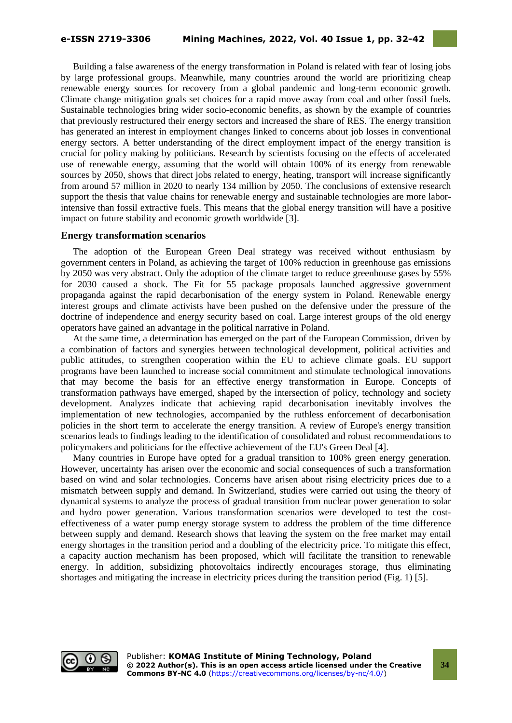Building a false awareness of the energy transformation in Poland is related with fear of losing jobs by large professional groups. Meanwhile, many countries around the world are prioritizing cheap renewable energy sources for recovery from a global pandemic and long-term economic growth. Climate change mitigation goals set choices for a rapid move away from coal and other fossil fuels. Sustainable technologies bring wider socio-economic benefits, as shown by the example of countries that previously restructured their energy sectors and increased the share of RES. The energy transition has generated an interest in employment changes linked to concerns about job losses in conventional energy sectors. A better understanding of the direct employment impact of the energy transition is crucial for policy making by politicians. Research by scientists focusing on the effects of accelerated use of renewable energy, assuming that the world will obtain 100% of its energy from renewable sources by 2050, shows that direct jobs related to energy, heating, transport will increase significantly from around 57 million in 2020 to nearly 134 million by 2050. The conclusions of extensive research support the thesis that value chains for renewable energy and sustainable technologies are more laborintensive than fossil extractive fuels. This means that the global energy transition will have a positive impact on future stability and economic growth worldwide [3].

#### **Energy transformation scenarios**

The adoption of the European Green Deal strategy was received without enthusiasm by government centers in Poland, as achieving the target of 100% reduction in greenhouse gas emissions by 2050 was very abstract. Only the adoption of the climate target to reduce greenhouse gases by 55% for 2030 caused a shock. The Fit for 55 package proposals launched aggressive government propaganda against the rapid decarbonisation of the energy system in Poland. Renewable energy interest groups and climate activists have been pushed on the defensive under the pressure of the doctrine of independence and energy security based on coal. Large interest groups of the old energy operators have gained an advantage in the political narrative in Poland.

At the same time, a determination has emerged on the part of the European Commission, driven by a combination of factors and synergies between technological development, political activities and public attitudes, to strengthen cooperation within the EU to achieve climate goals. EU support programs have been launched to increase social commitment and stimulate technological innovations that may become the basis for an effective energy transformation in Europe. Concepts of transformation pathways have emerged, shaped by the intersection of policy, technology and society development. Analyzes indicate that achieving rapid decarbonisation inevitably involves the implementation of new technologies, accompanied by the ruthless enforcement of decarbonisation policies in the short term to accelerate the energy transition. A review of Europe's energy transition scenarios leads to findings leading to the identification of consolidated and robust recommendations to policymakers and politicians for the effective achievement of the EU's Green Deal [4].

Many countries in Europe have opted for a gradual transition to 100% green energy generation. However, uncertainty has arisen over the economic and social consequences of such a transformation based on wind and solar technologies. Concerns have arisen about rising electricity prices due to a mismatch between supply and demand. In Switzerland, studies were carried out using the theory of dynamical systems to analyze the process of gradual transition from nuclear power generation to solar and hydro power generation. Various transformation scenarios were developed to test the costeffectiveness of a water pump energy storage system to address the problem of the time difference between supply and demand. Research shows that leaving the system on the free market may entail energy shortages in the transition period and a doubling of the electricity price. To mitigate this effect, a capacity auction mechanism has been proposed, which will facilitate the transition to renewable energy. In addition, subsidizing photovoltaics indirectly encourages storage, thus eliminating shortages and mitigating the increase in electricity prices during the transition period (Fig. 1) [5].

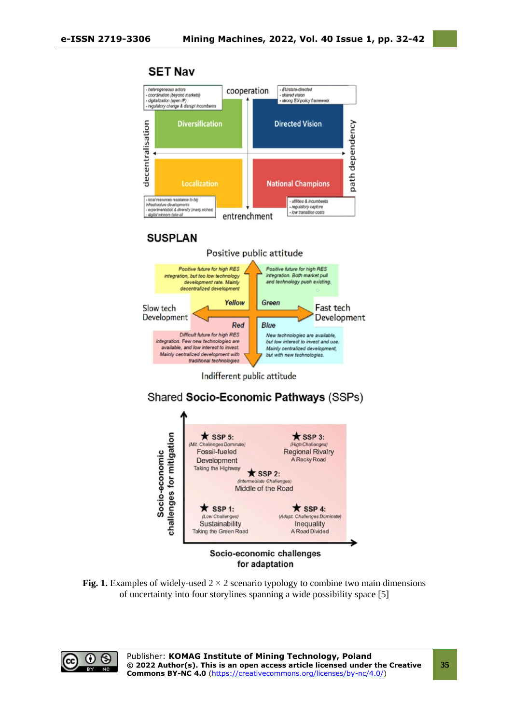

**SET Nav** 



 $\bigstar$  SSP 1:

(Low Challenges) Sustainability

Taking the Green Road

 $\bigstar$  SSP 4:

(Adapt, Challenges Dominate)

Inequality

A Road Divided

**Fig. 1.** Examples of widely-used  $2 \times 2$  scenario typology to combine two main dimensions of uncertainty into four storylines spanning a wide possibility space [5]

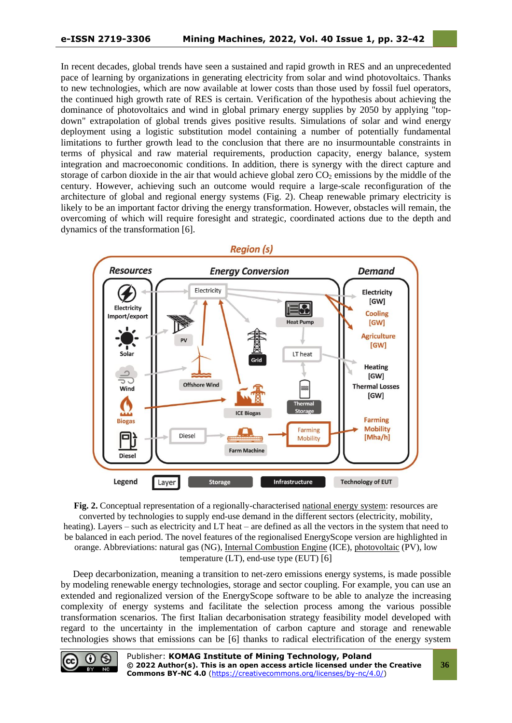In recent decades, global trends have seen a sustained and rapid growth in RES and an unprecedented pace of learning by organizations in generating electricity from solar and wind photovoltaics. Thanks to new technologies, which are now available at lower costs than those used by fossil fuel operators, the continued high growth rate of RES is certain. Verification of the hypothesis about achieving the dominance of photovoltaics and wind in global primary energy supplies by 2050 by applying "topdown" extrapolation of global trends gives positive results. Simulations of solar and wind energy deployment using a logistic substitution model containing a number of potentially fundamental limitations to further growth lead to the conclusion that there are no insurmountable constraints in terms of physical and raw material requirements, production capacity, energy balance, system integration and macroeconomic conditions. In addition, there is synergy with the direct capture and storage of carbon dioxide in the air that would achieve global zero  $CO<sub>2</sub>$  emissions by the middle of the century. However, achieving such an outcome would require a large-scale reconfiguration of the architecture of global and regional energy systems (Fig. 2). Cheap renewable primary electricity is likely to be an important factor driving the energy transformation. However, obstacles will remain, the overcoming of which will require foresight and strategic, coordinated actions due to the depth and dynamics of the transformation [6].



**Fig. 2.** Conceptual representation of a regionally-characterised [national energy system:](https://www.sciencedirect.com/topics/engineering/national-energy-systems) resources are converted by technologies to supply end-use demand in the different sectors (electricity, mobility, heating). Layers – such as electricity and LT heat – are defined as all the vectors in the system that need to be balanced in each period. The novel features of the regionalised EnergyScope version are highlighted in orange. Abbreviations: natural gas (NG), [Internal Combustion Engine](https://www.sciencedirect.com/topics/engineering/internal-combustion-engines) (ICE), [photovoltaic](https://www.sciencedirect.com/topics/engineering/photovoltaics) (PV), low temperature (LT), end-use type (EUT) [6]

Deep decarbonization, meaning a transition to net-zero emissions energy systems, is made possible by modeling renewable energy technologies, storage and sector coupling. For example, you can use an extended and regionalized version of the EnergyScope software to be able to analyze the increasing complexity of energy systems and facilitate the selection process among the various possible transformation scenarios. The first Italian decarbonisation strategy feasibility model developed with regard to the uncertainty in the implementation of carbon capture and storage and renewable technologies shows that emissions can be [6] thanks to radical electrification of the energy system

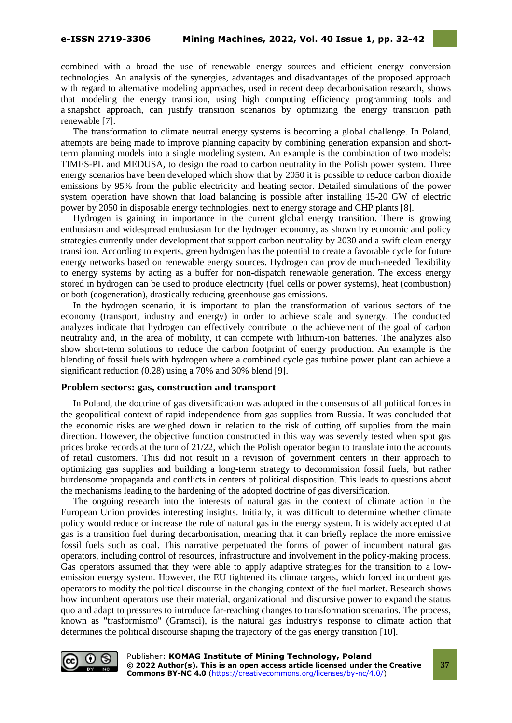combined with a broad the use of renewable energy sources and efficient energy conversion technologies. An analysis of the synergies, advantages and disadvantages of the proposed approach with regard to alternative modeling approaches, used in recent deep decarbonisation research, shows that modeling the energy transition, using high computing efficiency programming tools and a snapshot approach, can justify transition scenarios by optimizing the energy transition path renewable [7].

The transformation to climate neutral energy systems is becoming a global challenge. In Poland, attempts are being made to improve planning capacity by combining generation expansion and shortterm planning models into a single modeling system. An example is the combination of two models: TIMES-PL and MEDUSA, to design the road to carbon neutrality in the Polish power system. Three energy scenarios have been developed which show that by 2050 it is possible to reduce carbon dioxide emissions by 95% from the public electricity and heating sector. Detailed simulations of the power system operation have shown that load balancing is possible after installing 15-20 GW of electric power by 2050 in disposable energy technologies, next to energy storage and CHP plants [8].

Hydrogen is gaining in importance in the current global energy transition. There is growing enthusiasm and widespread enthusiasm for the hydrogen economy, as shown by economic and policy strategies currently under development that support carbon neutrality by 2030 and a swift clean energy transition. According to experts, green hydrogen has the potential to create a favorable cycle for future energy networks based on renewable energy sources. Hydrogen can provide much-needed flexibility to energy systems by acting as a buffer for non-dispatch renewable generation. The excess energy stored in hydrogen can be used to produce electricity (fuel cells or power systems), heat (combustion) or both (cogeneration), drastically reducing greenhouse gas emissions.

In the hydrogen scenario, it is important to plan the transformation of various sectors of the economy (transport, industry and energy) in order to achieve scale and synergy. The conducted analyzes indicate that hydrogen can effectively contribute to the achievement of the goal of carbon neutrality and, in the area of mobility, it can compete with lithium-ion batteries. The analyzes also show short-term solutions to reduce the carbon footprint of energy production. An example is the blending of fossil fuels with hydrogen where a combined cycle gas turbine power plant can achieve a significant reduction (0.28) using a 70% and 30% blend [9].

#### **Problem sectors: gas, construction and transport**

In Poland, the doctrine of gas diversification was adopted in the consensus of all political forces in the geopolitical context of rapid independence from gas supplies from Russia. It was concluded that the economic risks are weighed down in relation to the risk of cutting off supplies from the main direction. However, the objective function constructed in this way was severely tested when spot gas prices broke records at the turn of 21/22, which the Polish operator began to translate into the accounts of retail customers. This did not result in a revision of government centers in their approach to optimizing gas supplies and building a long-term strategy to decommission fossil fuels, but rather burdensome propaganda and conflicts in centers of political disposition. This leads to questions about the mechanisms leading to the hardening of the adopted doctrine of gas diversification.

The ongoing research into the interests of natural gas in the context of climate action in the European Union provides interesting insights. Initially, it was difficult to determine whether climate policy would reduce or increase the role of natural gas in the energy system. It is widely accepted that gas is a transition fuel during decarbonisation, meaning that it can briefly replace the more emissive fossil fuels such as coal. This narrative perpetuated the forms of power of incumbent natural gas operators, including control of resources, infrastructure and involvement in the policy-making process. Gas operators assumed that they were able to apply adaptive strategies for the transition to a lowemission energy system. However, the EU tightened its climate targets, which forced incumbent gas operators to modify the political discourse in the changing context of the fuel market. Research shows how incumbent operators use their material, organizational and discursive power to expand the status quo and adapt to pressures to introduce far-reaching changes to transformation scenarios. The process, known as "trasformismo" (Gramsci), is the natural gas industry's response to climate action that determines the political discourse shaping the trajectory of the gas energy transition [10].

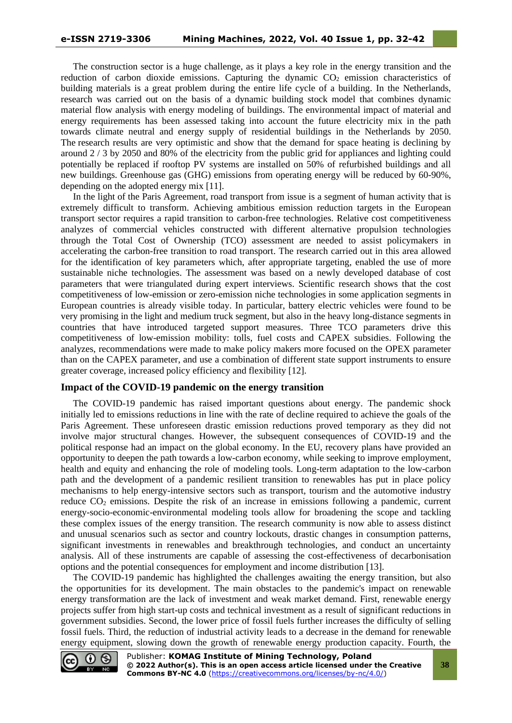The construction sector is a huge challenge, as it plays a key role in the energy transition and the reduction of carbon dioxide emissions. Capturing the dynamic  $CO<sub>2</sub>$  emission characteristics of building materials is a great problem during the entire life cycle of a building. In the Netherlands, research was carried out on the basis of a dynamic building stock model that combines dynamic material flow analysis with energy modeling of buildings. The environmental impact of material and energy requirements has been assessed taking into account the future electricity mix in the path towards climate neutral and energy supply of residential buildings in the Netherlands by 2050. The research results are very optimistic and show that the demand for space heating is declining by around 2 / 3 by 2050 and 80% of the electricity from the public grid for appliances and lighting could potentially be replaced if rooftop PV systems are installed on 50% of refurbished buildings and all new buildings. Greenhouse gas (GHG) emissions from operating energy will be reduced by 60-90%, depending on the adopted energy mix [11].

In the light of the Paris Agreement, road transport from issue is a segment of human activity that is extremely difficult to transform. Achieving ambitious emission reduction targets in the European transport sector requires a rapid transition to carbon-free technologies. Relative cost competitiveness analyzes of commercial vehicles constructed with different alternative propulsion technologies through the Total Cost of Ownership (TCO) assessment are needed to assist policymakers in accelerating the carbon-free transition to road transport. The research carried out in this area allowed for the identification of key parameters which, after appropriate targeting, enabled the use of more sustainable niche technologies. The assessment was based on a newly developed database of cost parameters that were triangulated during expert interviews. Scientific research shows that the cost competitiveness of low-emission or zero-emission niche technologies in some application segments in European countries is already visible today. In particular, battery electric vehicles were found to be very promising in the light and medium truck segment, but also in the heavy long-distance segments in countries that have introduced targeted support measures. Three TCO parameters drive this competitiveness of low-emission mobility: tolls, fuel costs and CAPEX subsidies. Following the analyzes, recommendations were made to make policy makers more focused on the OPEX parameter than on the CAPEX parameter, and use a combination of different state support instruments to ensure greater coverage, increased policy efficiency and flexibility [12].

#### **Impact of the COVID-19 pandemic on the energy transition**

The COVID-19 pandemic has raised important questions about energy. The pandemic shock initially led to emissions reductions in line with the rate of decline required to achieve the goals of the Paris Agreement. These unforeseen drastic emission reductions proved temporary as they did not involve major structural changes. However, the subsequent consequences of COVID-19 and the political response had an impact on the global economy. In the EU, recovery plans have provided an opportunity to deepen the path towards a low-carbon economy, while seeking to improve employment, health and equity and enhancing the role of modeling tools. Long-term adaptation to the low-carbon path and the development of a pandemic resilient transition to renewables has put in place policy mechanisms to help energy-intensive sectors such as transport, tourism and the automotive industry reduce  $CO<sub>2</sub>$  emissions. Despite the risk of an increase in emissions following a pandemic, current energy-socio-economic-environmental modeling tools allow for broadening the scope and tackling these complex issues of the energy transition. The research community is now able to assess distinct and unusual scenarios such as sector and country lockouts, drastic changes in consumption patterns, significant investments in renewables and breakthrough technologies, and conduct an uncertainty analysis. All of these instruments are capable of assessing the cost-effectiveness of decarbonisation options and the potential consequences for employment and income distribution [13].

The COVID-19 pandemic has highlighted the challenges awaiting the energy transition, but also the opportunities for its development. The main obstacles to the pandemic's impact on renewable energy transformation are the lack of investment and weak market demand. First, renewable energy projects suffer from high start-up costs and technical investment as a result of significant reductions in government subsidies. Second, the lower price of fossil fuels further increases the difficulty of selling fossil fuels. Third, the reduction of industrial activity leads to a decrease in the demand for renewable energy equipment, slowing down the growth of renewable energy production capacity. Fourth, the



**38**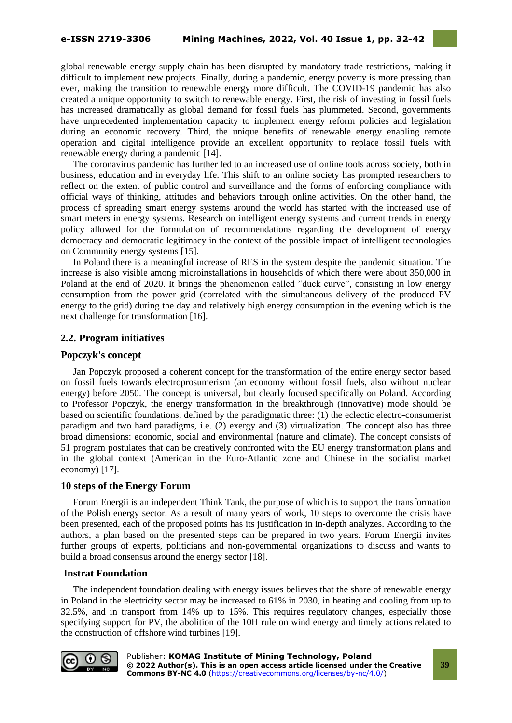global renewable energy supply chain has been disrupted by mandatory trade restrictions, making it difficult to implement new projects. Finally, during a pandemic, energy poverty is more pressing than ever, making the transition to renewable energy more difficult. The COVID-19 pandemic has also created a unique opportunity to switch to renewable energy. First, the risk of investing in fossil fuels has increased dramatically as global demand for fossil fuels has plummeted. Second, governments have unprecedented implementation capacity to implement energy reform policies and legislation during an economic recovery. Third, the unique benefits of renewable energy enabling remote operation and digital intelligence provide an excellent opportunity to replace fossil fuels with renewable energy during a pandemic [14].

The coronavirus pandemic has further led to an increased use of online tools across society, both in business, education and in everyday life. This shift to an online society has prompted researchers to reflect on the extent of public control and surveillance and the forms of enforcing compliance with official ways of thinking, attitudes and behaviors through online activities. On the other hand, the process of spreading smart energy systems around the world has started with the increased use of smart meters in energy systems. Research on intelligent energy systems and current trends in energy policy allowed for the formulation of recommendations regarding the development of energy democracy and democratic legitimacy in the context of the possible impact of intelligent technologies on Community energy systems [15].

In Poland there is a meaningful increase of RES in the system despite the pandemic situation. The increase is also visible among microinstallations in households of which there were about 350,000 in Poland at the end of 2020. It brings the phenomenon called "duck curve", consisting in low energy consumption from the power grid (correlated with the simultaneous delivery of the produced PV energy to the grid) during the day and relatively high energy consumption in the evening which is the next challenge for transformation [16].

## **2.2. Program initiatives**

## **Popczyk's concept**

Jan Popczyk proposed a coherent concept for the transformation of the entire energy sector based on fossil fuels towards electroprosumerism (an economy without fossil fuels, also without nuclear energy) before 2050. The concept is universal, but clearly focused specifically on Poland. According to Professor Popczyk, the energy transformation in the breakthrough (innovative) mode should be based on scientific foundations, defined by the paradigmatic three: (1) the eclectic electro-consumerist paradigm and two hard paradigms, i.e. (2) exergy and (3) virtualization. The concept also has three broad dimensions: economic, social and environmental (nature and climate). The concept consists of 51 program postulates that can be creatively confronted with the EU energy transformation plans and in the global context (American in the Euro-Atlantic zone and Chinese in the socialist market economy) [17].

## **10 steps of the Energy Forum**

Forum Energii is an independent Think Tank, the purpose of which is to support the transformation of the Polish energy sector. As a result of many years of work, 10 steps to overcome the crisis have been presented, each of the proposed points has its justification in in-depth analyzes. According to the authors, a plan based on the presented steps can be prepared in two years. Forum Energii invites further groups of experts, politicians and non-governmental organizations to discuss and wants to build a broad consensus around the energy sector [18].

## **Instrat Foundation**

The independent foundation dealing with energy issues believes that the share of renewable energy in Poland in the electricity sector may be increased to 61% in 2030, in heating and cooling from up to 32.5%, and in transport from 14% up to 15%. This requires regulatory changes, especially those specifying support for PV, the abolition of the 10H rule on wind energy and timely actions related to the construction of offshore wind turbines [19].

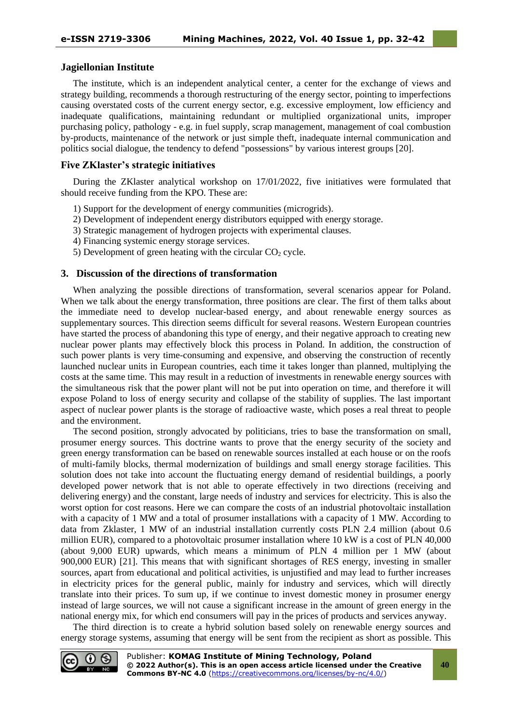## **Jagiellonian Institute**

The institute, which is an independent analytical center, a center for the exchange of views and strategy building, recommends a thorough restructuring of the energy sector, pointing to imperfections causing overstated costs of the current energy sector, e.g. excessive employment, low efficiency and inadequate qualifications, maintaining redundant or multiplied organizational units, improper purchasing policy, pathology - e.g. in fuel supply, scrap management, management of coal combustion by-products, maintenance of the network or just simple theft, inadequate internal communication and politics social dialogue, the tendency to defend "possessions" by various interest groups [20].

## **Five ZKlaster's strategic initiatives**

During the ZKlaster analytical workshop on 17/01/2022, five initiatives were formulated that should receive funding from the KPO. These are:

- 1) Support for the development of energy communities (microgrids).
- 2) Development of independent energy distributors equipped with energy storage.
- 3) Strategic management of hydrogen projects with experimental clauses.
- 4) Financing systemic energy storage services.
- 5) Development of green heating with the circular  $CO<sub>2</sub>$  cycle.

## **3. Discussion of the directions of transformation**

When analyzing the possible directions of transformation, several scenarios appear for Poland. When we talk about the energy transformation, three positions are clear. The first of them talks about the immediate need to develop nuclear-based energy, and about renewable energy sources as supplementary sources. This direction seems difficult for several reasons. Western European countries have started the process of abandoning this type of energy, and their negative approach to creating new nuclear power plants may effectively block this process in Poland. In addition, the construction of such power plants is very time-consuming and expensive, and observing the construction of recently launched nuclear units in European countries, each time it takes longer than planned, multiplying the costs at the same time. This may result in a reduction of investments in renewable energy sources with the simultaneous risk that the power plant will not be put into operation on time, and therefore it will expose Poland to loss of energy security and collapse of the stability of supplies. The last important aspect of nuclear power plants is the storage of radioactive waste, which poses a real threat to people and the environment.

The second position, strongly advocated by politicians, tries to base the transformation on small, prosumer energy sources. This doctrine wants to prove that the energy security of the society and green energy transformation can be based on renewable sources installed at each house or on the roofs of multi-family blocks, thermal modernization of buildings and small energy storage facilities. This solution does not take into account the fluctuating energy demand of residential buildings, a poorly developed power network that is not able to operate effectively in two directions (receiving and delivering energy) and the constant, large needs of industry and services for electricity. This is also the worst option for cost reasons. Here we can compare the costs of an industrial photovoltaic installation with a capacity of 1 MW and a total of prosumer installations with a capacity of 1 MW. According to data from Zklaster, 1 MW of an industrial installation currently costs PLN 2.4 million (about 0.6 million EUR), compared to a photovoltaic prosumer installation where 10 kW is a cost of PLN 40,000 (about 9,000 EUR) upwards, which means a minimum of PLN 4 million per 1 MW (about 900,000 EUR) [21]. This means that with significant shortages of RES energy, investing in smaller sources, apart from educational and political activities, is unjustified and may lead to further increases in electricity prices for the general public, mainly for industry and services, which will directly translate into their prices. To sum up, if we continue to invest domestic money in prosumer energy instead of large sources, we will not cause a significant increase in the amount of green energy in the national energy mix, for which end consumers will pay in the prices of products and services anyway.

The third direction is to create a hybrid solution based solely on renewable energy sources and energy storage systems, assuming that energy will be sent from the recipient as short as possible. This

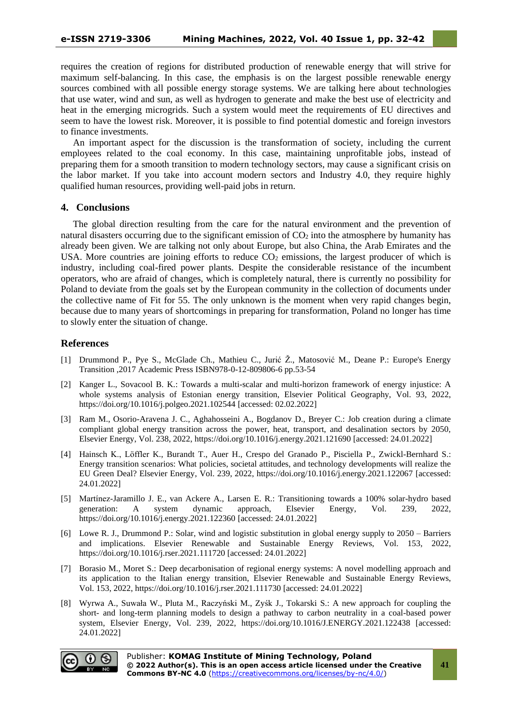requires the creation of regions for distributed production of renewable energy that will strive for maximum self-balancing. In this case, the emphasis is on the largest possible renewable energy sources combined with all possible energy storage systems. We are talking here about technologies that use water, wind and sun, as well as hydrogen to generate and make the best use of electricity and heat in the emerging microgrids. Such a system would meet the requirements of EU directives and seem to have the lowest risk. Moreover, it is possible to find potential domestic and foreign investors to finance investments.

An important aspect for the discussion is the transformation of society, including the current employees related to the coal economy. In this case, maintaining unprofitable jobs, instead of preparing them for a smooth transition to modern technology sectors, may cause a significant crisis on the labor market. If you take into account modern sectors and Industry 4.0, they require highly qualified human resources, providing well-paid jobs in return.

## **4. Conclusions**

The global direction resulting from the care for the natural environment and the prevention of natural disasters occurring due to the significant emission of  $CO<sub>2</sub>$  into the atmosphere by humanity has already been given. We are talking not only about Europe, but also China, the Arab Emirates and the USA. More countries are joining efforts to reduce  $CO<sub>2</sub>$  emissions, the largest producer of which is industry, including coal-fired power plants. Despite the considerable resistance of the incumbent operators, who are afraid of changes, which is completely natural, there is currently no possibility for Poland to deviate from the goals set by the European community in the collection of documents under the collective name of Fit for 55. The only unknown is the moment when very rapid changes begin, because due to many years of shortcomings in preparing for transformation, Poland no longer has time to slowly enter the situation of change.

## **References**

- [1] Drummond P., Pye S., McGlade Ch., Mathieu C., Jurić Ž., Matosović M., Deane P.: Europe's Energy Transition ,2017 Academic Press ISBN978-0-12-809806-6 pp.53-54
- [2] Kanger L., Sovacool B. K.: Towards a multi-scalar and multi-horizon framework of energy injustice: A whole systems analysis of Estonian energy transition, Elsevier Political Geography, Vol. 93, 2022, https://doi.org/10.1016/j.polgeo.2021.102544 [accessed: 02.02.2022]
- [3] Ram M., Osorio-Aravena J. C., Aghahosseini A., Bogdanov D., Breyer C.: Job creation during a climate compliant global energy transition across the power, heat, transport, and desalination sectors by 2050, Elsevier Energy, Vol. 238, 2022, https://doi.org/10.1016/j.energy.2021.121690 [accessed: 24.01.2022]
- [4] Hainsch K., Löffler K., Burandt T., Auer H., Crespo del Granado P., Pisciella P., Zwickl-Bernhard S.: Energy transition scenarios: What policies, societal attitudes, and technology developments will realize the EU Green Deal? Elsevier Energy, Vol. 239, 2022, https://doi.org/10.1016/j.energy.2021.122067 [accessed: 24.01.2022]
- [5] Martínez-Jaramillo J. E., van Ackere A., Larsen E. R.: Transitioning towards a 100% solar-hydro based generation: A system dynamic approach, Elsevier Energy, Vol. 239, 2022, https://doi.org/10.1016/j.energy.2021.122360 [accessed: 24.01.2022]
- [6] Lowe R. J., Drummond P.: Solar, wind and logistic substitution in global energy supply to 2050 Barriers and implications. Elsevier Renewable and Sustainable Energy Reviews, Vol. 153, 2022, https://doi.org/10.1016/j.rser.2021.111720 [accessed: 24.01.2022]
- [7] Borasio M., Moret S.: Deep decarbonisation of regional energy systems: A novel modelling approach and its application to the Italian energy transition, Elsevier Renewable and Sustainable Energy Reviews, Vol. 153, 2022, https://doi.org/10.1016/j.rser.2021.111730 [accessed: 24.01.2022]
- [8] Wyrwa A., Suwała W., Pluta M., Raczyński M., Zyśk J., Tokarski S.: A new approach for coupling the short- and long-term planning models to design a pathway to carbon neutrality in a coal-based power system, Elsevier Energy, Vol. 239, 2022, https://doi.org/10.1016/J.ENERGY.2021.122438 [accessed: 24.01.2022]